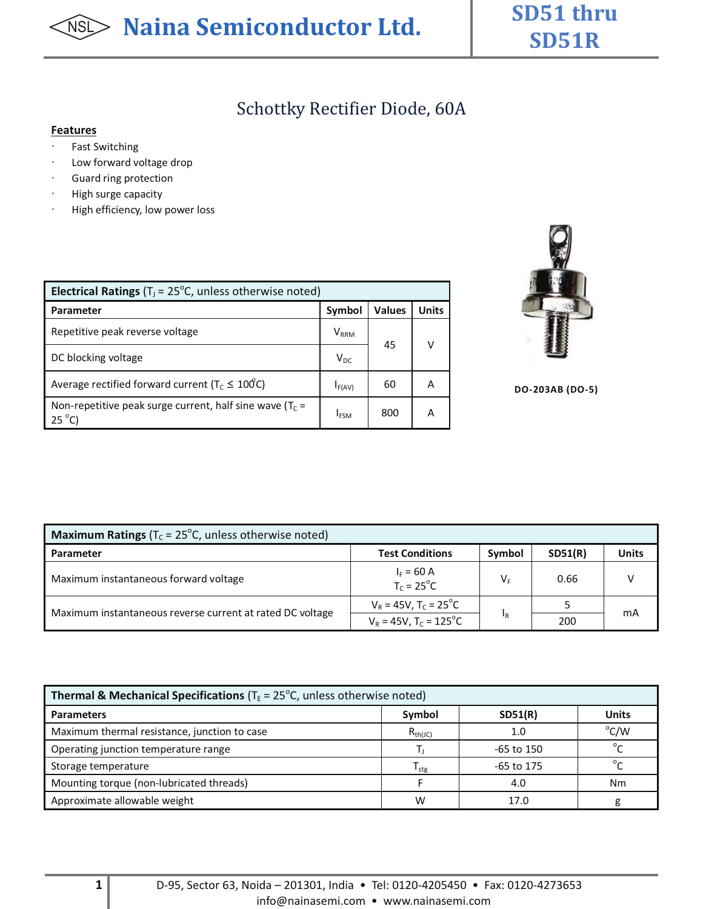# **SD51R**

## Schottky Rectifier Diode, 60A

#### **Features**

- · Fast Switching
- · Low forward voltage drop
- · Guard ring protection
- · High surge capacity
- · High efficiency, low power loss

| <b>Electrical Ratings</b> ( $TJ = 25oC$ , unless otherwise noted)              |             |               |       |  |  |  |
|--------------------------------------------------------------------------------|-------------|---------------|-------|--|--|--|
| <b>Parameter</b>                                                               | Symbol      | <b>Values</b> | Units |  |  |  |
| Repetitive peak reverse voltage                                                | $V_{RRM}$   | 45            |       |  |  |  |
| DC blocking voltage                                                            | $V_{DC}$    |               |       |  |  |  |
| Average rectified forward current ( $T_c \leq 100C$ )                          | $I_{F(AV)}$ | 60            |       |  |  |  |
| Non-repetitive peak surge current, half sine wave ( $T_c$ =<br>$25^{\circ}$ C) | <b>IFSM</b> | 800           |       |  |  |  |



**DO-203AB (DO-5)**

| <b>Maximum Ratings</b> ( $T_c$ = 25°C, unless otherwise noted) |                                                            |                |         |              |  |
|----------------------------------------------------------------|------------------------------------------------------------|----------------|---------|--------------|--|
| <b>Parameter</b>                                               | <b>Test Conditions</b>                                     | Symbol         | SD51(R) | <b>Units</b> |  |
| Maximum instantaneous forward voltage                          | $I_F = 60 \text{ A}$<br>T <sub>C</sub> = 25 <sup>°</sup> C | VF             | 0.66    |              |  |
| Maximum instantaneous reverse current at rated DC voltage      | $V_R$ = 45V, T <sub>c</sub> = 25 <sup>°</sup> C            | 1 <sub>R</sub> |         | mA           |  |
|                                                                | $V_R = 45V, T_C = 125^{\circ}C$                            |                | 200     |              |  |

| <b>Thermal &amp; Mechanical Specifications</b> ( $TE = 25^{\circ}$ C, unless otherwise noted) |                  |              |                              |  |  |
|-----------------------------------------------------------------------------------------------|------------------|--------------|------------------------------|--|--|
| <b>Parameters</b>                                                                             | Symbol           | SD51(R)      | <b>Units</b>                 |  |  |
| Maximum thermal resistance, junction to case                                                  | $R_{th(JC)}$     | 1.0          | $^{\circ}$ C/W               |  |  |
| Operating junction temperature range                                                          |                  | -65 to 150   | $\mathfrak{o}_{\mathcal{L}}$ |  |  |
| Storage temperature                                                                           | l <sub>ste</sub> | $-65$ to 175 | $\circ$                      |  |  |
| Mounting torque (non-lubricated threads)                                                      |                  | 4.0          | Nm                           |  |  |
| Approximate allowable weight                                                                  | w                | 17.0         |                              |  |  |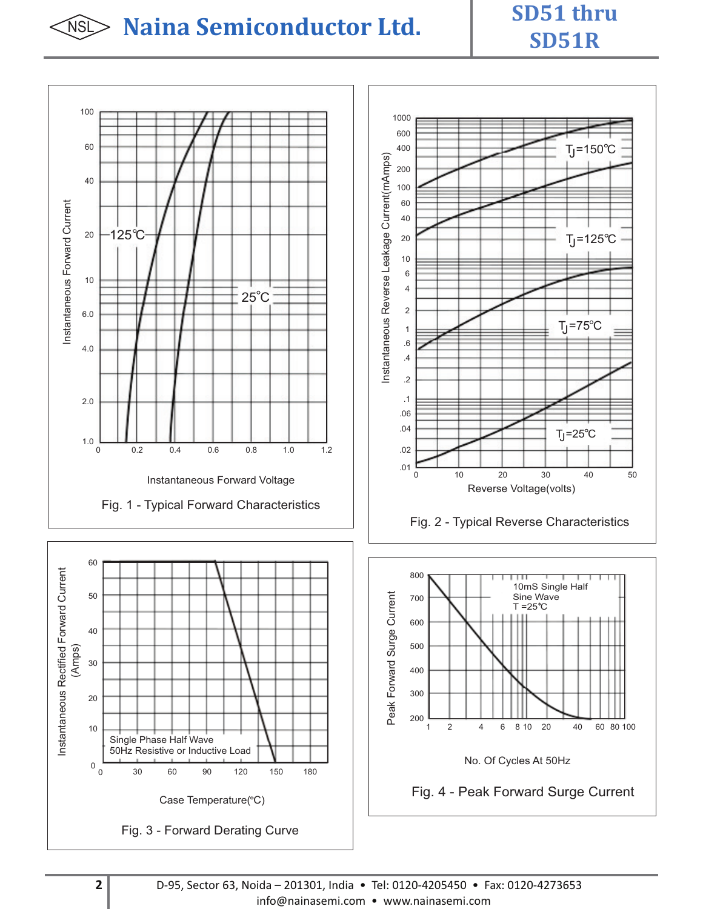## NSL **Naina Semiconductor Ltd. SD51 thru**

# **SD51R**